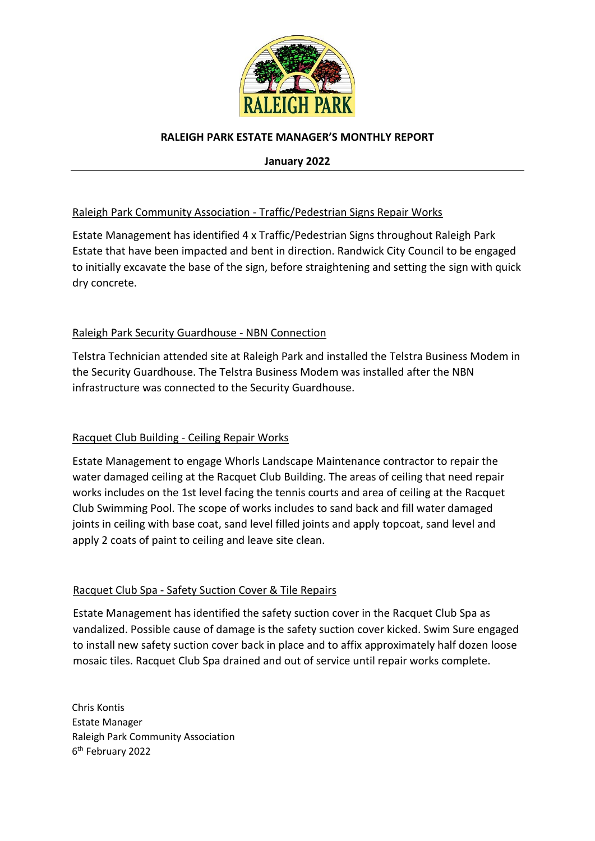

## **RALEIGH PARK ESTATE MANAGER'S MONTHLY REPORT**

**January 2022**

# Raleigh Park Community Association - Traffic/Pedestrian Signs Repair Works

Estate Management has identified 4 x Traffic/Pedestrian Signs throughout Raleigh Park Estate that have been impacted and bent in direction. Randwick City Council to be engaged to initially excavate the base of the sign, before straightening and setting the sign with quick dry concrete.

# Raleigh Park Security Guardhouse - NBN Connection

Telstra Technician attended site at Raleigh Park and installed the Telstra Business Modem in the Security Guardhouse. The Telstra Business Modem was installed after the NBN infrastructure was connected to the Security Guardhouse.

# Racquet Club Building - Ceiling Repair Works

Estate Management to engage Whorls Landscape Maintenance contractor to repair the water damaged ceiling at the Racquet Club Building. The areas of ceiling that need repair works includes on the 1st level facing the tennis courts and area of ceiling at the Racquet Club Swimming Pool. The scope of works includes to sand back and fill water damaged joints in ceiling with base coat, sand level filled joints and apply topcoat, sand level and apply 2 coats of paint to ceiling and leave site clean.

# Racquet Club Spa - Safety Suction Cover & Tile Repairs

Estate Management has identified the safety suction cover in the Racquet Club Spa as vandalized. Possible cause of damage is the safety suction cover kicked. Swim Sure engaged to install new safety suction cover back in place and to affix approximately half dozen loose mosaic tiles. Racquet Club Spa drained and out of service until repair works complete.

Chris Kontis Estate Manager Raleigh Park Community Association 6 th February 2022